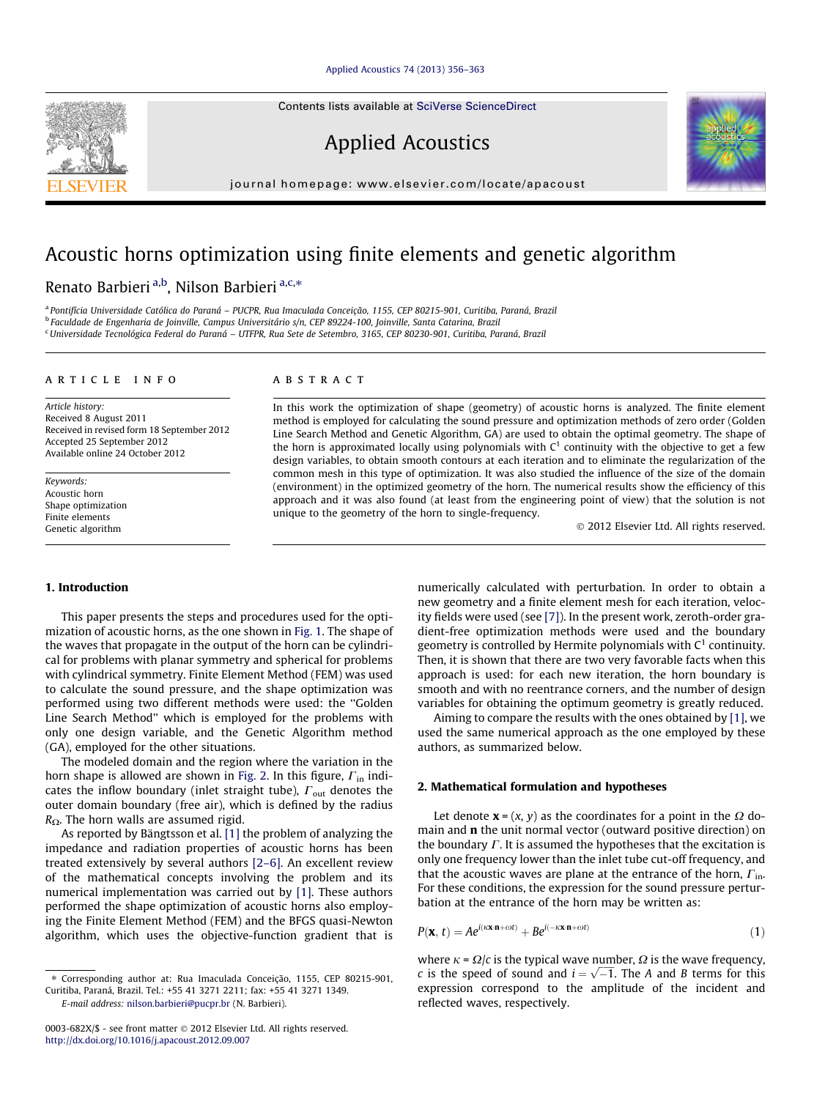[Applied Acoustics 74 \(2013\) 356–363](http://dx.doi.org/10.1016/j.apacoust.2012.09.007)

Contents lists available at [SciVerse ScienceDirect](http://www.sciencedirect.com/science/journal/0003682X)

Applied Acoustics

journal homepage: [www.elsevier.com/locate/apacoust](http://www.elsevier.com/locate/apacoust)

# Acoustic horns optimization using finite elements and genetic algorithm

Renato Barbieri <sup>a,b</sup>, Nilson Barbieri <sup>a,c,</sup>\*

<sup>a</sup> Pontifícia Universidade Católica do Paraná – PUCPR, Rua Imaculada Conceição, 1155, CEP 80215-901, Curitiba, Paraná, Brazil

<sup>b</sup> Faculdade de Engenharia de Joinville, Campus Universitário s/n, CEP 89224-100, Joinville, Santa Catarina, Brazil

<sup>c</sup>Universidade Tecnológica Federal do Paraná – UTFPR, Rua Sete de Setembro, 3165, CEP 80230-901, Curitiba, Paraná, Brazil

#### article info

Article history: Received 8 August 2011 Received in revised form 18 September 2012 Accepted 25 September 2012 Available online 24 October 2012

Keywords: Acoustic horn Shape optimization Finite elements Genetic algorithm

## ABSTRACT

In this work the optimization of shape (geometry) of acoustic horns is analyzed. The finite element method is employed for calculating the sound pressure and optimization methods of zero order (Golden Line Search Method and Genetic Algorithm, GA) are used to obtain the optimal geometry. The shape of the horn is approximated locally using polynomials with  $C<sup>1</sup>$  continuity with the objective to get a few design variables, to obtain smooth contours at each iteration and to eliminate the regularization of the common mesh in this type of optimization. It was also studied the influence of the size of the domain (environment) in the optimized geometry of the horn. The numerical results show the efficiency of this approach and it was also found (at least from the engineering point of view) that the solution is not unique to the geometry of the horn to single-frequency.

- 2012 Elsevier Ltd. All rights reserved.

#### 1. Introduction

This paper presents the steps and procedures used for the optimization of acoustic horns, as the one shown in [Fig. 1.](#page-1-0) The shape of the waves that propagate in the output of the horn can be cylindrical for problems with planar symmetry and spherical for problems with cylindrical symmetry. Finite Element Method (FEM) was used to calculate the sound pressure, and the shape optimization was performed using two different methods were used: the ''Golden Line Search Method'' which is employed for the problems with only one design variable, and the Genetic Algorithm method (GA), employed for the other situations.

The modeled domain and the region where the variation in the horn shape is allowed are shown in [Fig. 2.](#page-1-0) In this figure,  $\Gamma_{\rm in}$  indicates the inflow boundary (inlet straight tube),  $\Gamma_{\text{out}}$  denotes the outer domain boundary (free air), which is defined by the radius  $R_{\Omega}$ . The horn walls are assumed rigid.

As reported by Bängtsson et al. [\[1\]](#page--1-0) the problem of analyzing the impedance and radiation properties of acoustic horns has been treated extensively by several authors [\[2–6\].](#page--1-0) An excellent review of the mathematical concepts involving the problem and its numerical implementation was carried out by [\[1\].](#page--1-0) These authors performed the shape optimization of acoustic horns also employing the Finite Element Method (FEM) and the BFGS quasi-Newton algorithm, which uses the objective-function gradient that is numerically calculated with perturbation. In order to obtain a new geometry and a finite element mesh for each iteration, velocity fields were used (see [\[7\]\)](#page--1-0). In the present work, zeroth-order gradient-free optimization methods were used and the boundary geometry is controlled by Hermite polynomials with  $C^1$  continuity. Then, it is shown that there are two very favorable facts when this approach is used: for each new iteration, the horn boundary is smooth and with no reentrance corners, and the number of design variables for obtaining the optimum geometry is greatly reduced.

Aiming to compare the results with the ones obtained by [\[1\],](#page--1-0) we used the same numerical approach as the one employed by these authors, as summarized below.

### 2. Mathematical formulation and hypotheses

Let denote  $\mathbf{x} = (x, y)$  as the coordinates for a point in the  $\Omega$  domain and n the unit normal vector (outward positive direction) on the boundary  $\Gamma$ . It is assumed the hypotheses that the excitation is only one frequency lower than the inlet tube cut-off frequency, and that the acoustic waves are plane at the entrance of the horn,  $\Gamma_{\text{in}}$ . For these conditions, the expression for the sound pressure perturbation at the entrance of the horn may be written as:

$$
P(\mathbf{x}, t) = Ae^{i(\kappa \mathbf{x} \cdot \mathbf{n} + \omega t)} + Be^{i(-\kappa \mathbf{x} \cdot \mathbf{n} + \omega t)}
$$
(1)

where  $\kappa = \Omega/c$  is the typical wave number,  $\Omega$  is the wave frequency, where  $k - \frac{2z}{l}$  is the typical wave humber,  $\frac{2z}{l}$  is the wave hequency, <br>c is the speed of sound and  $i = \sqrt{-1}$ . The A and B terms for this expression correspond to the amplitude of the incident and reflected waves, respectively.

<span id="page-0-0"></span>

<sup>⇑</sup> Corresponding author at: Rua Imaculada Conceição, 1155, CEP 80215-901, Curitiba, Paraná, Brazil. Tel.: +55 41 3271 2211; fax: +55 41 3271 1349. E-mail address: [nilson.barbieri@pucpr.br](mailto:nilson.barbieri@pucpr.br) (N. Barbieri).

<sup>0003-682</sup>X/\$ - see front matter © 2012 Elsevier Ltd. All rights reserved. <http://dx.doi.org/10.1016/j.apacoust.2012.09.007>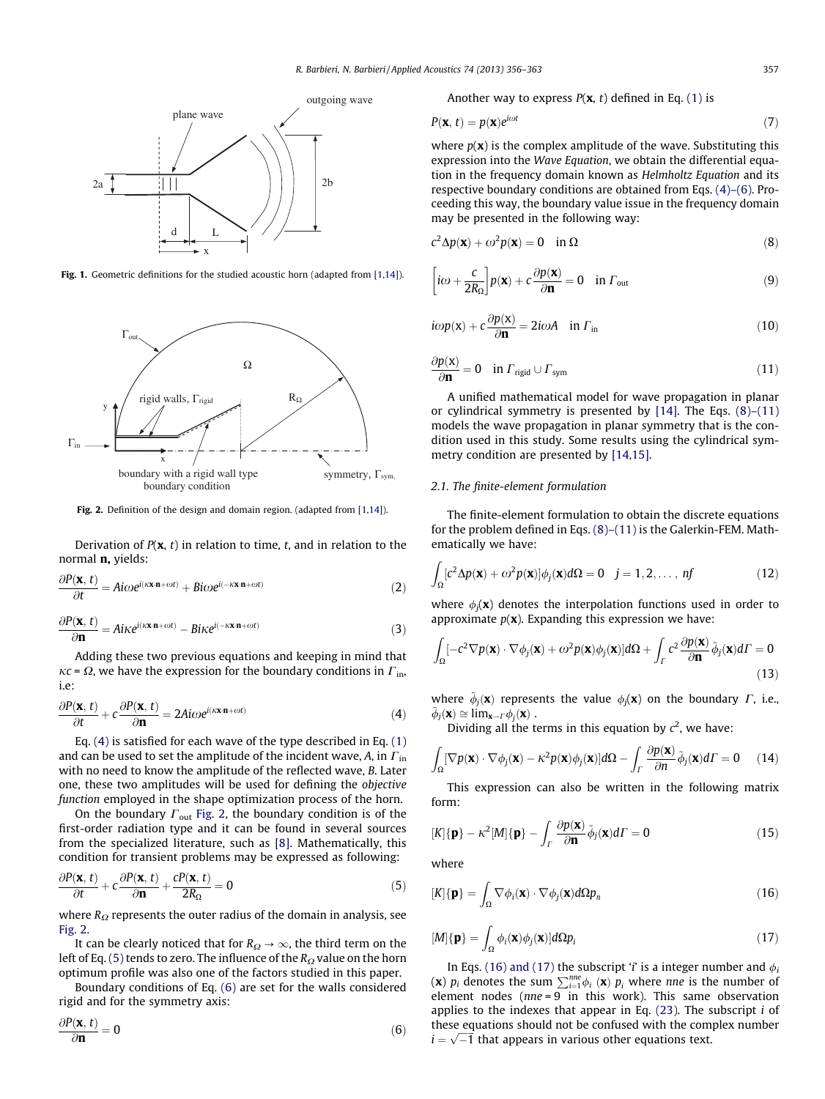<span id="page-1-0"></span>

Fig. 1. Geometric definitions for the studied acoustic horn (adapted from [\[1,14\]\)](#page--1-0).



Fig. 2. Definition of the design and domain region. (adapted from [\[1,14\]](#page--1-0)).

Derivation of  $P(\mathbf{x}, t)$  in relation to time, t, and in relation to the normal n, yields:

$$
\frac{\partial P(\mathbf{x},t)}{\partial t} = A i \omega e^{i(\kappa \mathbf{x} \cdot \mathbf{n} + \omega t)} + B i \omega e^{i(-\kappa \mathbf{x} \cdot \mathbf{n} + \omega t)}
$$
(2)

$$
\frac{\partial P(\mathbf{x},t)}{\partial \mathbf{n}} = A i \kappa e^{i(\kappa \mathbf{x} \cdot \mathbf{n} + \omega t)} - B i \kappa e^{i(-\kappa \mathbf{x} \cdot \mathbf{n} + \omega t)}
$$
(3)

Adding these two previous equations and keeping in mind that  $\kappa c = \Omega$ , we have the expression for the boundary conditions in  $\Gamma$ <sub>in</sub>, i.e:

$$
\frac{\partial P(\mathbf{x},t)}{\partial t} + c \frac{\partial P(\mathbf{x},t)}{\partial \mathbf{n}} = 2A i \omega e^{i(\kappa \mathbf{x} \cdot \mathbf{n} + \omega t)}
$$
(4)

Eq.  $(4)$  is satisfied for each wave of the type described in Eq.  $(1)$ and can be used to set the amplitude of the incident wave,  $A$ , in  $\Gamma$ <sub>in</sub> with no need to know the amplitude of the reflected wave, B. Later one, these two amplitudes will be used for defining the objective function employed in the shape optimization process of the horn.

On the boundary  $\Gamma_{\text{out}}$  Fig. 2, the boundary condition is of the first-order radiation type and it can be found in several sources from the specialized literature, such as [\[8\]](#page--1-0). Mathematically, this condition for transient problems may be expressed as following:

$$
\frac{\partial P(\mathbf{x},t)}{\partial t} + c \frac{\partial P(\mathbf{x},t)}{\partial \mathbf{n}} + \frac{cP(\mathbf{x},t)}{2R_{\Omega}} = 0
$$
\n(5)

where  $R_{\Omega}$  represents the outer radius of the domain in analysis, see Fig. 2.

It can be clearly noticed that for  $R_{\Omega} \rightarrow \infty$ , the third term on the left of Eq. (5) tends to zero. The influence of the  $R_{\Omega}$  value on the horn optimum profile was also one of the factors studied in this paper.

Boundary conditions of Eq. (6) are set for the walls considered rigid and for the symmetry axis:

$$
\frac{\partial P(\mathbf{x},t)}{\partial \mathbf{n}} = 0
$$
 (6)

Another way to express  $P(x, t)$  defined in Eq. [\(1\)](#page-0-0) is

$$
P(\mathbf{x}, t) = p(\mathbf{x})e^{i\omega t}
$$
 (7)

where  $p(\mathbf{x})$  is the complex amplitude of the wave. Substituting this expression into the Wave Equation, we obtain the differential equation in the frequency domain known as Helmholtz Equation and its respective boundary conditions are obtained from Eqs. (4)–(6). Proceeding this way, the boundary value issue in the frequency domain may be presented in the following way:

$$
c^2 \Delta p(\mathbf{x}) + \omega^2 p(\mathbf{x}) = 0 \quad \text{in } \Omega \tag{8}
$$

$$
\left[ i\omega + \frac{c}{2R_{\Omega}} \right] p(\mathbf{x}) + c \frac{\partial p(\mathbf{x})}{\partial \mathbf{n}} = 0 \quad \text{in } \Gamma_{\text{out}}
$$
 (9)

$$
i\omega p(\mathbf{x}) + c \frac{\partial p(\mathbf{x})}{\partial \mathbf{n}} = 2i\omega A \quad \text{in } \Gamma_{\text{in}} \tag{10}
$$

$$
\frac{\partial p(\mathbf{x})}{\partial \mathbf{n}} = 0 \quad \text{in } \Gamma_{\text{rigid}} \cup \Gamma_{\text{sym}} \tag{11}
$$

A unified mathematical model for wave propagation in planar or cylindrical symmetry is presented by [\[14\]](#page--1-0). The Eqs. (8)–(11) models the wave propagation in planar symmetry that is the condition used in this study. Some results using the cylindrical symmetry condition are presented by [\[14,15\].](#page--1-0)

#### 2.1. The finite-element formulation

The finite-element formulation to obtain the discrete equations for the problem defined in Eqs. (8)–(11) is the Galerkin-FEM. Mathematically we have:

$$
\int_{\Omega} [c^2 \Delta p(\mathbf{x}) + \omega^2 p(\mathbf{x})] \phi_j(\mathbf{x}) d\Omega = 0 \quad j = 1, 2, ..., nf
$$
 (12)

where  $\phi_i(\mathbf{x})$  denotes the interpolation functions used in order to approximate  $p(x)$ . Expanding this expression we have:

$$
\int_{\Omega} [-c^2 \nabla p(\mathbf{x}) \cdot \nabla \phi_j(\mathbf{x}) + \omega^2 p(\mathbf{x}) \phi_j(\mathbf{x})] d\Omega + \int_{\Gamma} c^2 \frac{\partial p(\mathbf{x})}{\partial \mathbf{n}} \tilde{\phi}_j(\mathbf{x}) d\Gamma = 0
$$
\n(13)

where  $\tilde{\phi}_i(\mathbf{x})$  represents the value  $\phi_i(\mathbf{x})$  on the boundary  $\Gamma$ , i.e.,  $\tilde{\phi}_i(\mathbf{x}) \cong \lim_{\mathbf{x} \to \Gamma} \phi_i(\mathbf{x})$ .

Dividing all the terms in this equation by  $c^2$ , we have:

$$
\int_{\Omega} [\nabla p(\mathbf{x}) \cdot \nabla \phi_j(\mathbf{x}) - \kappa^2 p(\mathbf{x}) \phi_j(\mathbf{x})] d\Omega - \int_{\Gamma} \frac{\partial p(\mathbf{x})}{\partial n} \tilde{\phi}_j(\mathbf{x}) d\Gamma = 0 \quad (14)
$$

This expression can also be written in the following matrix form:

$$
[K]\{\mathbf{p}\} - \kappa^2 [M]\{\mathbf{p}\} - \int_{\Gamma} \frac{\partial p(\mathbf{x})}{\partial \mathbf{n}} \tilde{\phi}_j(\mathbf{x}) d\Gamma = 0
$$
\n(15)

where

$$
[K]\{\mathbf{p}\} = \int_{\Omega} \nabla \phi_i(\mathbf{x}) \cdot \nabla \phi_j(\mathbf{x}) d\Omega p_n \tag{16}
$$

$$
[M]\{\mathbf{p}\} = \int_{\Omega} \phi_i(\mathbf{x}) \phi_j(\mathbf{x}) d\Omega p_i \tag{17}
$$

In Eqs. (16) and (17) the subscript '*i*' is a integer number and  $\phi_i$ (x)  $p_i$  denotes the sum  $\sum_{i=1}^{me} \phi_i$  (x)  $p_i$  where *nne* is the number of element nodes ( $nne = 9$  in this work). This same observation applies to the indexes that appear in Eq.  $(23)$ . The subscript *i* of these equations should not be confused with the complex number these equations should not be comused with the com<br> $i = \sqrt{-1}$  that appears in various other equations text.